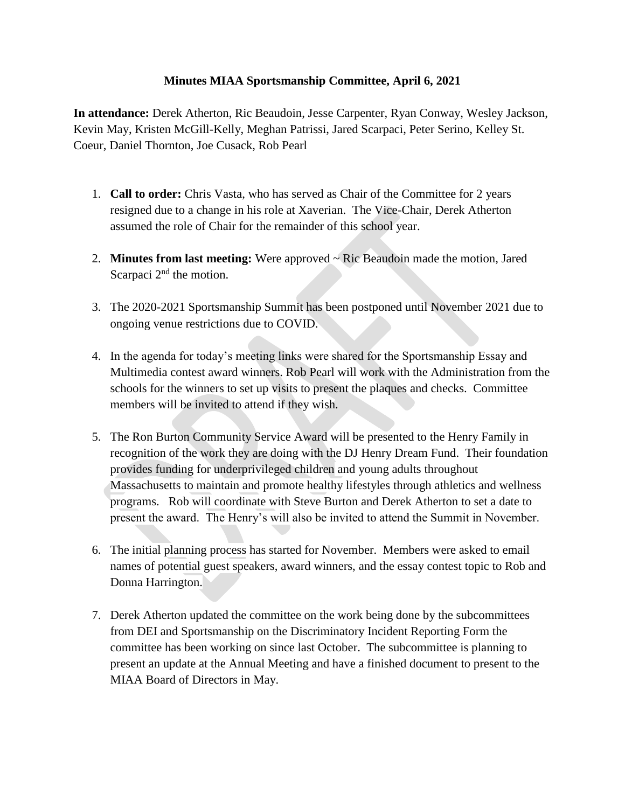## **Minutes MIAA Sportsmanship Committee, April 6, 2021**

**In attendance:** Derek Atherton, Ric Beaudoin, Jesse Carpenter, Ryan Conway, Wesley Jackson, Kevin May, Kristen McGill-Kelly, Meghan Patrissi, Jared Scarpaci, Peter Serino, Kelley St. Coeur, Daniel Thornton, Joe Cusack, Rob Pearl

- 1. **Call to order:** Chris Vasta, who has served as Chair of the Committee for 2 years resigned due to a change in his role at Xaverian. The Vice-Chair, Derek Atherton assumed the role of Chair for the remainder of this school year.
- 2. **Minutes from last meeting:** Were approved ~ Ric Beaudoin made the motion, Jared Scarpaci 2<sup>nd</sup> the motion.
- 3. The 2020-2021 Sportsmanship Summit has been postponed until November 2021 due to ongoing venue restrictions due to COVID.
- 4. In the agenda for today's meeting links were shared for the Sportsmanship Essay and Multimedia contest award winners. Rob Pearl will work with the Administration from the schools for the winners to set up visits to present the plaques and checks. Committee members will be invited to attend if they wish.
- 5. The Ron Burton Community Service Award will be presented to the Henry Family in recognition of the work they are doing with the DJ Henry Dream Fund. Their foundation provides funding for underprivileged children and young adults throughout Massachusetts to maintain and promote healthy lifestyles through athletics and wellness programs. Rob will coordinate with Steve Burton and Derek Atherton to set a date to present the award. The Henry's will also be invited to attend the Summit in November.
- 6. The initial planning process has started for November. Members were asked to email names of potential guest speakers, award winners, and the essay contest topic to Rob and Donna Harrington.
- 7. Derek Atherton updated the committee on the work being done by the subcommittees from DEI and Sportsmanship on the Discriminatory Incident Reporting Form the committee has been working on since last October. The subcommittee is planning to present an update at the Annual Meeting and have a finished document to present to the MIAA Board of Directors in May.